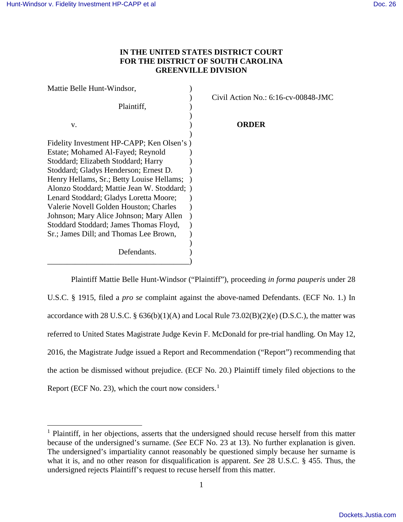$\overline{a}$ 

## **IN THE UNITED STATES DISTRICT COURT FOR THE DISTRICT OF SOUTH CAROLINA GREENVILLE DIVISION**

| Mattie Belle Hunt-Windsor,                  |                                        |
|---------------------------------------------|----------------------------------------|
|                                             | Civil Action No.: $6:16$ -cv-00848-JMC |
| Plaintiff,                                  |                                        |
| V.                                          | ORDER                                  |
|                                             |                                        |
| Fidelity Investment HP-CAPP; Ken Olsen's)   |                                        |
| Estate; Mohamed Al-Fayed; Reynold           |                                        |
| Stoddard; Elizabeth Stoddard; Harry         |                                        |
| Stoddard; Gladys Henderson; Ernest D.       |                                        |
| Henry Hellams, Sr.; Betty Louise Hellams;   |                                        |
| Alonzo Stoddard; Mattie Jean W. Stoddard; ) |                                        |
| Lenard Stoddard; Gladys Loretta Moore;      |                                        |
| Valerie Novell Golden Houston; Charles      |                                        |
| Johnson; Mary Alice Johnson; Mary Allen     |                                        |
| Stoddard Stoddard; James Thomas Floyd,      |                                        |
| Sr.; James Dill; and Thomas Lee Brown,      |                                        |
|                                             |                                        |
| Defendants.                                 |                                        |
|                                             |                                        |

Plaintiff Mattie Belle Hunt-Windsor ("Plaintiff"), proceeding *in forma pauperis* under 28 U.S.C. § 1915, filed a *pro se* complaint against the above-named Defendants. (ECF No. 1.) In accordance with 28 U.S.C. §  $636(b)(1)(A)$  and Local Rule  $73.02(B)(2)(e)$  (D.S.C.), the matter was referred to United States Magistrate Judge Kevin F. McDonald for pre-trial handling. On May 12, 2016, the Magistrate Judge issued a Report and Recommendation ("Report") recommending that the action be dismissed without prejudice. (ECF No. 20.) Plaintiff timely filed objections to the Report (ECF No. 23), which the court now considers. $<sup>1</sup>$  $<sup>1</sup>$  $<sup>1</sup>$ </sup>

<span id="page-0-0"></span><sup>&</sup>lt;sup>1</sup> Plaintiff, in her objections, asserts that the undersigned should recuse herself from this matter because of the undersigned's surname. (*See* ECF No. 23 at 13). No further explanation is given. The undersigned's impartiality cannot reasonably be questioned simply because her surname is what it is, and no other reason for disqualification is apparent. *See* 28 U.S.C. § 455. Thus, the undersigned rejects Plaintiff's request to recuse herself from this matter.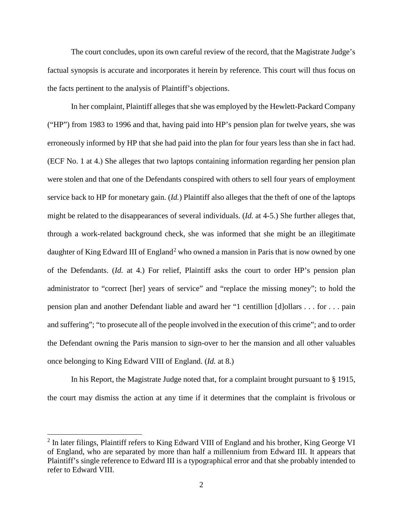The court concludes, upon its own careful review of the record, that the Magistrate Judge's factual synopsis is accurate and incorporates it herein by reference. This court will thus focus on the facts pertinent to the analysis of Plaintiff's objections.

In her complaint, Plaintiff alleges that she was employed by the Hewlett-Packard Company ("HP") from 1983 to 1996 and that, having paid into HP's pension plan for twelve years, she was erroneously informed by HP that she had paid into the plan for four years less than she in fact had. (ECF No. 1 at 4.) She alleges that two laptops containing information regarding her pension plan were stolen and that one of the Defendants conspired with others to sell four years of employment service back to HP for monetary gain. (*Id.*) Plaintiff also alleges that the theft of one of the laptops might be related to the disappearances of several individuals. (*Id.* at 4-5.) She further alleges that, through a work-related background check, she was informed that she might be an illegitimate daughter of King Edward III of England<sup>[2](#page-1-0)</sup> who owned a mansion in Paris that is now owned by one of the Defendants. (*Id.* at 4.) For relief, Plaintiff asks the court to order HP's pension plan administrator to "correct [her] years of service" and "replace the missing money"; to hold the pension plan and another Defendant liable and award her "1 centillion [d]ollars . . . for . . . pain and suffering"; "to prosecute all of the people involved in the execution of this crime"; and to order the Defendant owning the Paris mansion to sign-over to her the mansion and all other valuables once belonging to King Edward VIII of England. (*Id.* at 8.)

In his Report, the Magistrate Judge noted that, for a complaint brought pursuant to § 1915, the court may dismiss the action at any time if it determines that the complaint is frivolous or

 $\overline{a}$ 

<span id="page-1-0"></span><sup>&</sup>lt;sup>2</sup> In later filings, Plaintiff refers to King Edward VIII of England and his brother, King George VI of England, who are separated by more than half a millennium from Edward III. It appears that Plaintiff's single reference to Edward III is a typographical error and that she probably intended to refer to Edward VIII.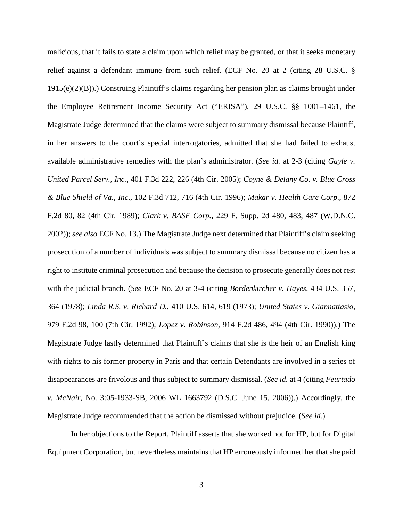malicious, that it fails to state a claim upon which relief may be granted, or that it seeks monetary relief against a defendant immune from such relief. (ECF No. 20 at 2 (citing 28 U.S.C. § 1915(e)(2)(B)).) Construing Plaintiff's claims regarding her pension plan as claims brought under the Employee Retirement Income Security Act ("ERISA"), 29 U.S.C. §§ 1001–1461, the Magistrate Judge determined that the claims were subject to summary dismissal because Plaintiff, in her answers to the court's special interrogatories, admitted that she had failed to exhaust available administrative remedies with the plan's administrator. (*See id.* at 2-3 (citing *Gayle v. United Parcel Serv., Inc.*, 401 F.3d 222, 226 (4th Cir. 2005); *Coyne & Delany Co. v. Blue Cross & Blue Shield of Va., Inc*., 102 F.3d 712, 716 (4th Cir. 1996); *Makar v. Health Care Corp*., 872 F.2d 80, 82 (4th Cir. 1989); *Clark v. BASF Corp.*, 229 F. Supp. 2d 480, 483, 487 (W.D.N.C. 2002)); *see also* ECF No. 13.) The Magistrate Judge next determined that Plaintiff's claim seeking prosecution of a number of individuals was subject to summary dismissal because no citizen has a right to institute criminal prosecution and because the decision to prosecute generally does not rest with the judicial branch. (*See* ECF No. 20 at 3-4 (citing *Bordenkircher v. Hayes*, 434 U.S. 357, 364 (1978); *Linda R.S. v. Richard D.*, 410 U.S. 614, 619 (1973); *United States v. Giannattasio*, 979 F.2d 98, 100 (7th Cir. 1992); *Lopez v. Robinson*, 914 F.2d 486, 494 (4th Cir. 1990)).) The Magistrate Judge lastly determined that Plaintiff's claims that she is the heir of an English king with rights to his former property in Paris and that certain Defendants are involved in a series of disappearances are frivolous and thus subject to summary dismissal. (*See id.* at 4 (citing *Feurtado v. McNair*, No. 3:05-1933-SB, 2006 WL 1663792 (D.S.C. June 15, 2006)).) Accordingly, the Magistrate Judge recommended that the action be dismissed without prejudice. (*See id.*)

In her objections to the Report, Plaintiff asserts that she worked not for HP, but for Digital Equipment Corporation, but nevertheless maintains that HP erroneously informed her that she paid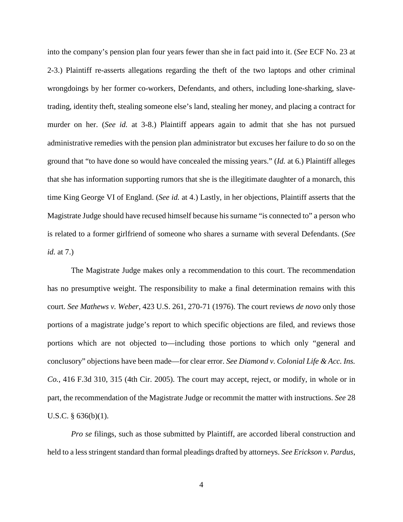into the company's pension plan four years fewer than she in fact paid into it. (*See* ECF No. 23 at 2-3.) Plaintiff re-asserts allegations regarding the theft of the two laptops and other criminal wrongdoings by her former co-workers, Defendants, and others, including lone-sharking, slavetrading, identity theft, stealing someone else's land, stealing her money, and placing a contract for murder on her. (*See id.* at 3-8.) Plaintiff appears again to admit that she has not pursued administrative remedies with the pension plan administrator but excuses her failure to do so on the ground that "to have done so would have concealed the missing years." (*Id.* at 6.) Plaintiff alleges that she has information supporting rumors that she is the illegitimate daughter of a monarch, this time King George VI of England. (*See id.* at 4.) Lastly, in her objections, Plaintiff asserts that the Magistrate Judge should have recused himself because his surname "is connected to" a person who is related to a former girlfriend of someone who shares a surname with several Defendants. (*See id.* at 7.)

The Magistrate Judge makes only a recommendation to this court. The recommendation has no presumptive weight. The responsibility to make a final determination remains with this court. *See Mathews v. Weber*, 423 U.S. 261, 270-71 (1976). The court reviews *de novo* only those portions of a magistrate judge's report to which specific objections are filed, and reviews those portions which are not objected to—including those portions to which only "general and conclusory" objections have been made—for clear error. *See Diamond v. Colonial Life & Acc. Ins. Co.*, 416 F.3d 310, 315 (4th Cir. 2005). The court may accept, reject, or modify, in whole or in part, the recommendation of the Magistrate Judge or recommit the matter with instructions. *See* 28 U.S.C. § 636(b)(1).

*Pro se* filings, such as those submitted by Plaintiff, are accorded liberal construction and held to a less stringent standard than formal pleadings drafted by attorneys. *See Erickson v. Pardus*,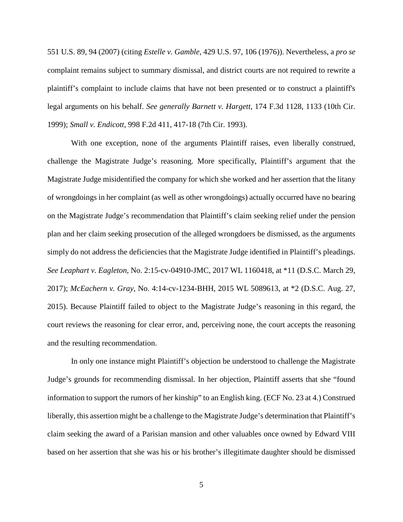551 U.S. 89, 94 (2007) (citing *Estelle v. Gamble*, 429 U.S. 97, 106 (1976)). Nevertheless, a *pro se* complaint remains subject to summary dismissal, and district courts are not required to rewrite a plaintiff's complaint to include claims that have not been presented or to construct a plaintiff's legal arguments on his behalf. *See generally Barnett v. Hargett*, 174 F.3d 1128, 1133 (10th Cir. 1999); *Small v. Endicott*, 998 F.2d 411, 417-18 (7th Cir. 1993).

With one exception, none of the arguments Plaintiff raises, even liberally construed, challenge the Magistrate Judge's reasoning. More specifically, Plaintiff's argument that the Magistrate Judge misidentified the company for which she worked and her assertion that the litany of wrongdoings in her complaint (as well as other wrongdoings) actually occurred have no bearing on the Magistrate Judge's recommendation that Plaintiff's claim seeking relief under the pension plan and her claim seeking prosecution of the alleged wrongdoers be dismissed, as the arguments simply do not address the deficiencies that the Magistrate Judge identified in Plaintiff's pleadings. *See Leaphart v. Eagleton*, No. 2:15-cv-04910-JMC, 2017 WL 1160418, at \*11 (D.S.C. March 29, 2017); *McEachern v. Gray*, No. 4:14-cv-1234-BHH, 2015 WL 5089613, at \*2 (D.S.C. Aug. 27, 2015). Because Plaintiff failed to object to the Magistrate Judge's reasoning in this regard, the court reviews the reasoning for clear error, and, perceiving none, the court accepts the reasoning and the resulting recommendation.

In only one instance might Plaintiff's objection be understood to challenge the Magistrate Judge's grounds for recommending dismissal. In her objection, Plaintiff asserts that she "found information to support the rumors of her kinship" to an English king. (ECF No. 23 at 4.) Construed liberally, this assertion might be a challenge to the Magistrate Judge's determination that Plaintiff's claim seeking the award of a Parisian mansion and other valuables once owned by Edward VIII based on her assertion that she was his or his brother's illegitimate daughter should be dismissed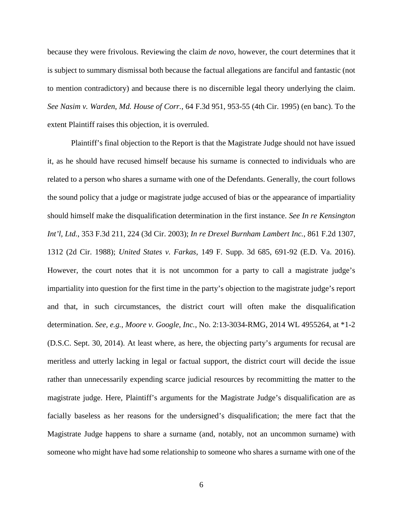because they were frivolous. Reviewing the claim *de novo*, however, the court determines that it is subject to summary dismissal both because the factual allegations are fanciful and fantastic (not to mention contradictory) and because there is no discernible legal theory underlying the claim. *See Nasim v. Warden*, *Md. House of Corr.*, 64 F.3d 951, 953-55 (4th Cir. 1995) (en banc). To the extent Plaintiff raises this objection, it is overruled.

Plaintiff's final objection to the Report is that the Magistrate Judge should not have issued it, as he should have recused himself because his surname is connected to individuals who are related to a person who shares a surname with one of the Defendants. Generally, the court follows the sound policy that a judge or magistrate judge accused of bias or the appearance of impartiality should himself make the disqualification determination in the first instance. *See In re Kensington Int'l, Ltd.*, 353 F.3d 211, 224 (3d Cir. 2003); *In re Drexel Burnham Lambert Inc.*, 861 F.2d 1307, 1312 (2d Cir. 1988); *United States v. Farkas*, 149 F. Supp. 3d 685, 691-92 (E.D. Va. 2016). However, the court notes that it is not uncommon for a party to call a magistrate judge's impartiality into question for the first time in the party's objection to the magistrate judge's report and that, in such circumstances, the district court will often make the disqualification determination. *See, e.g.*, *Moore v. Google, Inc.*, No. 2:13-3034-RMG, 2014 WL 4955264, at \*1-2 (D.S.C. Sept. 30, 2014). At least where, as here, the objecting party's arguments for recusal are meritless and utterly lacking in legal or factual support, the district court will decide the issue rather than unnecessarily expending scarce judicial resources by recommitting the matter to the magistrate judge. Here, Plaintiff's arguments for the Magistrate Judge's disqualification are as facially baseless as her reasons for the undersigned's disqualification; the mere fact that the Magistrate Judge happens to share a surname (and, notably, not an uncommon surname) with someone who might have had some relationship to someone who shares a surname with one of the